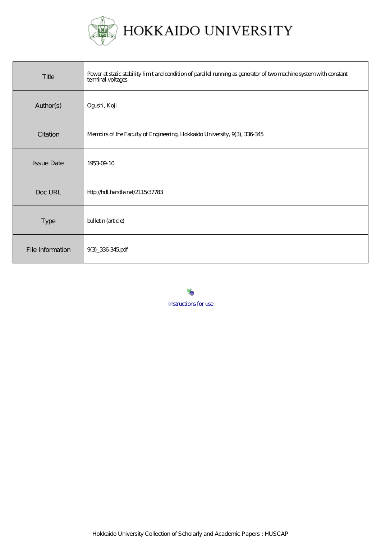

HOKKAIDO UNIVERSITY

| Title             | Power at static stability limit and condition of parallel running as generator of two machine system with constant<br>terminal voltages |
|-------------------|-----------------------------------------------------------------------------------------------------------------------------------------|
| Author(s)         | Ogushi, Koji                                                                                                                            |
| Citation          | Memoirs of the Faculty of Engineering, Hokkaido University, 9(3), 336-345                                                               |
| <b>Issue Date</b> | 19530910                                                                                                                                |
| Doc URL           | http://hdl.handle.net/2115/37783                                                                                                        |
| Type              | bulletin (article)                                                                                                                      |
| File Information  | 9(3) 336345pdf                                                                                                                          |

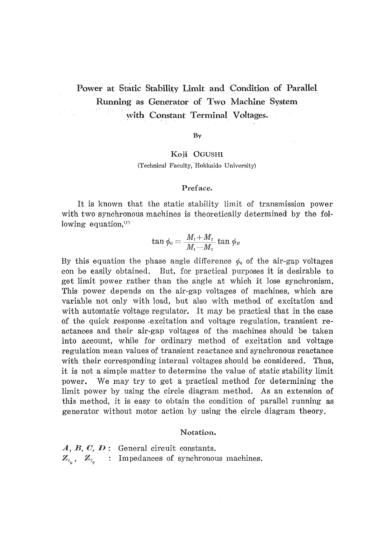# Power at Static Stability Limit and Condition of Parallel Running as Generator of Two Machine System with Constant Terminal Voltages.

By

# Koji OGUSHI (Technical Faculty, Hokkaido University)

### Preface.

It is known that the static stability limit of transmission power with two synchronous machines is theoretically determined by the following equation, $\alpha$ 

$$
\tan\phi_o=\frac{M_1+M_2}{M_1-M_2}\tan\phi_B
$$

By this equation the phase angle difference  $\phi_0$  of the air-gap voltages con be easily obtained. But, for practical purposes it is desirable to get limit power rather than the angle at which it lose synchronism. This power depends on the air-gap voltages of machines, which are variable not only with load, but also with method of excitation and with automatic voltage regulator. It may be practical that in the case of the quick response excitation and voltage regulation, transient reactances and their air-gap voltages of the machines should be taken into account, while for ordinary method of excitation and voltage regulation mean values of transient reactance and synchronous reactance with their corresponding internal voltages should be considered. Thus, it is not a simple matter to determine the value of static stability limit power. We may try to get a practical method for determining the limit power by using the circle diagram method. As an extension of this method, it is easy to obtain the condition of parallel running as generator without motor action by using the circle diagram theory.

### Notation.

 $A, B, C, D$ : General circuit constants.  $\mathbb{Z}_{I_{a}}$ ,  $\mathbb{Z}_{2_{a}}$  : Impedances of synchronous machines.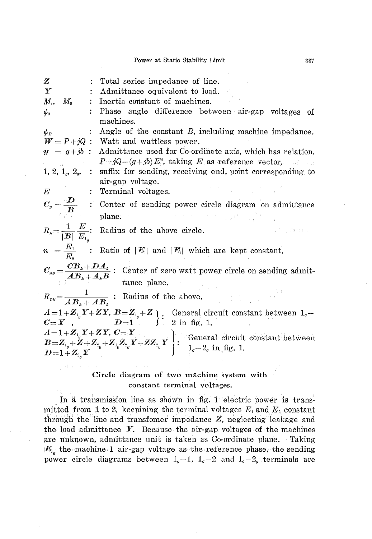Power at Static Stability Limit

| $\mathbb Z$                                                                                                                                                 | Total series impedance of line.                                                                                                                                                                                                                                                                                                                                                        |
|-------------------------------------------------------------------------------------------------------------------------------------------------------------|----------------------------------------------------------------------------------------------------------------------------------------------------------------------------------------------------------------------------------------------------------------------------------------------------------------------------------------------------------------------------------------|
| Y                                                                                                                                                           | Admittance equivalent to load.                                                                                                                                                                                                                                                                                                                                                         |
| $M_{1}$<br>$M_{\scriptscriptstyle 2}$                                                                                                                       | Inertia constant of machines.                                                                                                                                                                                                                                                                                                                                                          |
| $\phi_{0}$                                                                                                                                                  | Phase angle difference between air-gap voltages of                                                                                                                                                                                                                                                                                                                                     |
|                                                                                                                                                             | machines.                                                                                                                                                                                                                                                                                                                                                                              |
| $\phi_B$                                                                                                                                                    | Angle of the constant $B$ , including machine impedance.                                                                                                                                                                                                                                                                                                                               |
|                                                                                                                                                             | $W = P + jQ$ : Watt and wattless power.                                                                                                                                                                                                                                                                                                                                                |
|                                                                                                                                                             | $y = g + jb$ : Admittance used for Co-ordinate axis, which has relation,                                                                                                                                                                                                                                                                                                               |
|                                                                                                                                                             | $P+jQ=(g+jb)E^2$ , taking E as reference yector.                                                                                                                                                                                                                                                                                                                                       |
|                                                                                                                                                             | 1, 2, $1_q$ , $2_q$ , : suffix for sending, receiving end, point corresponding to                                                                                                                                                                                                                                                                                                      |
|                                                                                                                                                             | air-gap voltage.                                                                                                                                                                                                                                                                                                                                                                       |
| $\frac{d\mathbf{r}}{d\mathbf{r}} = \frac{d\mathbf{r}}{d\mathbf{r}} \frac{d\mathbf{r}}{d\mathbf{r}} \frac{d\mathbf{r}}{d\mathbf{r}} \label{eq:1}$<br>$\bm E$ | $\frac{1}{2}$ , $\frac{1}{2}$ , $\frac{1}{2}$<br>Terminal voltages.                                                                                                                                                                                                                                                                                                                    |
|                                                                                                                                                             | $C_y = \frac{D}{B}$ : Center of sending power circle diagram on admittance plane.                                                                                                                                                                                                                                                                                                      |
|                                                                                                                                                             |                                                                                                                                                                                                                                                                                                                                                                                        |
|                                                                                                                                                             | $R_y = \frac{1}{ B } \frac{E}{E_1}$ : Radius of the above circle.<br>and channels                                                                                                                                                                                                                                                                                                      |
|                                                                                                                                                             | $n = \frac{E_1}{E_2}$ : Ratio of $ E_1 $ and $ E_2 $ which are kept constant.                                                                                                                                                                                                                                                                                                          |
|                                                                                                                                                             | $C_{yy} = \frac{CB_k + DA_k}{AB_k + A_k B}$ : Center of zero watt power circle on sending admit-<br>tance plane.                                                                                                                                                                                                                                                                       |
|                                                                                                                                                             | $R_{yy} = \frac{1}{AB_x + AB_y}$ : Radius of the above.                                                                                                                                                                                                                                                                                                                                |
|                                                                                                                                                             |                                                                                                                                                                                                                                                                                                                                                                                        |
|                                                                                                                                                             | $A=1+Z_{i_0}Y+ZY, B=Z_{i_0}+Z$<br>$C=Y$ , $D=1$<br>$D=1$<br>$D=1$<br>$D=1$<br>$D=1$<br>$D=1$<br>$D=1$                                                                                                                                                                                                                                                                                  |
|                                                                                                                                                             | $\left\{\n\begin{array}{l}\nA=1+Z_{i_0}Y+ZY,\ C=Y \\ B=Z_{i_0}+Z+Z_{i_0}+Z_{i_0}Z_{i_0}Y+ZZ_{i_0}Y\n\end{array}\n\right\}$ : General circuit constant between<br>$\left.\n\begin{array}{l}\n\text{N} & \text{N} \\ \text{N} & \text{N} \\ \end{array}\n\right\}$ : $\left.\n\begin{array}{l}\n\text{General circuit constant between} \\ \text{N} & \text{N} \\ \end{array}\n\right\}$ |
|                                                                                                                                                             |                                                                                                                                                                                                                                                                                                                                                                                        |
| $D = 1 + Z_{2_o} Y$                                                                                                                                         |                                                                                                                                                                                                                                                                                                                                                                                        |
|                                                                                                                                                             |                                                                                                                                                                                                                                                                                                                                                                                        |

# Circle diagram of two machine system with constant terminal voltages.

In a transmission line as shown in fig. 1 electric power is transmitted from 1 to 2, keepining the terminal voltages  $E_i$  and  $E_i$  constant through the line and transfomer impedance  $Z$ , neglecting leakage and the load admittance  $Y$ . Because the air-gap voltages of the machines are unknown, admittance unit is taken as Co-ordinate plane. Taking  $E_{i}$  the machine 1 air-gap voltage as the reference phase, the sending power circle diagrams between  $1<sub>q</sub>-1$ ,  $1<sub>q</sub>-2$  and  $1<sub>q</sub>-2<sub>q</sub>$  terminals are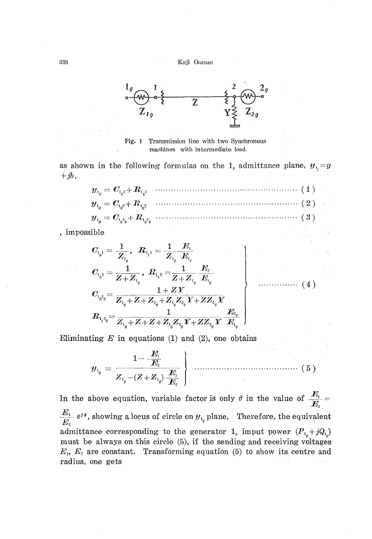Koji OGUSHI



Transmission line with two Synchronous Fig.  $1$ machines with intermediate load.

as shown in the following formulas on the  $1<sub>g</sub>$  admittance plane,  $y<sub>1<sub>c</sub></sub> = g$  $+jb.$ 

$$
y_{1_0} = C_{1_0 1} + R_{1_0 1}
$$
 (1)  
\n
$$
y_{1_0} = C_{1_0 2} + R_{1_0 2}
$$
 (2)  
\n
$$
y_{1_0} = C_{1_0 2_0} + R_{1_0 2_0}
$$
 (3)

, impossible

$$
C_{1_{i},1} = \frac{1}{Z_{1_{i}}}, \quad R_{1_{i},1} = \frac{1}{Z_{1_{i}}} \frac{E_{1_{i}}}{E_{1_{i}}} C_{1_{i},2} = \frac{1}{Z + Z_{1_{i}}}, \quad R_{1_{i},2} = \frac{1}{Z + Z_{1_{i}}} \frac{E_{2}}{E_{1_{i}}} C_{1_{i},2_{i}} = \frac{1 + ZY}{Z_{1_{i}} + Z + Z_{2_{i}}} \frac{1 + ZY}{Z_{1_{i}}} R_{1_{i},2_{i}} = \frac{1}{Z_{1_{i}} + Z + Z + Z_{1_{i}}} \frac{Z_{2_{i}}Y + ZZ_{2_{i}}}{} \frac{E_{2_{i}}}{Z_{1_{i}}} \left( \frac{1}{Z_{1_{i}}} \frac{E_{2_{i}}}{E_{1_{i}}} \right)
$$

Eliminating  $E$  in equations (1) and (2), one obtains

$$
y_{1_{\theta}} = \frac{1 - \frac{E_{1}}{E_{2}}}{Z_{1_{\theta}} - (Z + Z_{1_{\theta}}) \frac{E_{1}}{E_{2}}}
$$
 (5)

In the above equation, variable factor is only  $\theta$  in the value of  $\frac{E_i}{E_i}$  $\frac{E_1}{E_2}$   $\varepsilon^{j\theta}$ , showing a locus of circle on  $y_{1_\theta}$  plane. Therefore, the equivalent admittance corresponding to the generator  $1_g$  imput power  $(P_{i_g} + jQ_{i_g})$ must be always on this circle (5), if the sending and receiving voltages  $E_1$ ,  $E_2$  are constant. Transforming equation (5) to show its centre and radius, one gets Service State

338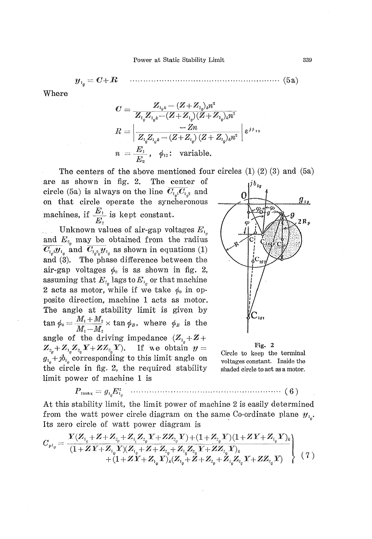$$
\boldsymbol{y}_1 = \boldsymbol{C}{+}1
$$

R 

Where

$$
C = \frac{Z_{1_0 k} - (Z + Z_{1_0})_k n^2}{Z_{1_0} Z_{1_0 k} - (Z + Z_{1_0}) (Z + Z_{1_0})_k n^2}
$$
\n
$$
R = \left| \frac{-Zn}{Z_{1_0} Z_{1_0 k} - (Z + Z_{1_0}) (Z + Z_{1_0})_k n^2} \right| \varepsilon^{j \beta_{12}}
$$
\n
$$
n = \frac{E_1}{E_2}, \quad \phi_{13}: \text{ variable.}
$$

The centers of the above mentioned four circles  $(1)$   $(2)$   $(3)$  and  $(5a)$ 

are as shown in fig. 2. The center of circle (5a) is always on the line  $\overline{C_{1_{a_1}}C_{1_{a_2}}}$  and on that circle operate the syncheronous machines, if  $\frac{E_1}{E_2}$  is kept constant.

Unknown values of air-gap voltages  $E_{1}$ and  $E_{z_q}$  may be obtained from the radius  $\overline{C_{i_qj}y_{i_q}}$  and  $\overline{C_{i_{q_i}^2j}y_{i_q}}$  as shown in equations (1) and (3). The phase difference between the air-gap voltages  $\phi_0$  is as shown in fig. 2, assuming that  $E_{z_q}$  lags to  $E_{z_q}$  or that machine 2 acts as motor, while if we take  $\phi_0$  in opposite direction, machine 1 acts as motor. The angle at stability limit is given by  $\tan \phi_0 = \frac{M_1 + M_2}{M_1 - M_2} \times \tan \phi_B$ , where  $\phi_B$  is the angle of the driving impedance  $(Z_{1} + Z +$  $Z_{a_0} + Z_{a_0} Z_{a_0} Y + Z Z_{a_0} Y$ . If we obtain  $y =$  $g_{1a} + jb_{1a}$  corresponding to this limit angle on the circle in fig. 2, the required stability limit power of machine 1 is



#### Fig.  $2$

Circle to keep the terminal voltages constant. Inside the shaded circle to act as a motor.

At this stability limit, the limit power of machine 2 is easily determined from the watt power circle diagram on the same Co-ordinate plane  $y_{1}$ . Its zero circle of watt power diagram is

$$
C_{p_{j}} = \frac{Y(Z_{i_{0}} + Z + Z_{i_{0}} + Z_{i_{0}}Z_{i_{0}}Y + ZZ_{i_{0}}Y) + (1 + Z_{i_{0}}Y)(1 + ZY + Z_{i_{0}}Y)_{k}}{(1 + ZY + Z_{i_{0}}Y)(Z_{i_{0}} + Z + Z_{i_{0}}Z_{i_{0}}Y + Z_{i_{0}}Z_{i_{0}}Y + ZZ_{i_{0}}Y)_{k}} + (1 + ZY + Z_{i_{0}}Y)_{k}(Z_{i_{0}} + Z + Z_{i_{0}}Z_{i_{0}}Y + Z_{i_{0}}Z_{i_{0}}Y + ZZ_{i_{0}}Y) \qquad (7)
$$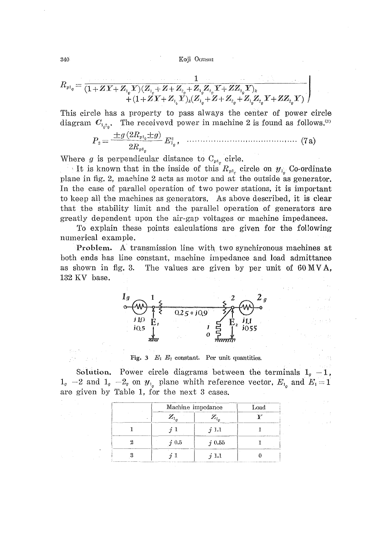Koji OGUSHI

$$
\begin{array}{l} \boldsymbol{R}_{\boldsymbol{v} \boldsymbol{1}_g} = \frac{1}{(1+Z\,Y+Z_{\boldsymbol{1}_g} Y)\, (Z_{\boldsymbol{1}_g}+Z+Z_{\boldsymbol{2}_g}+Z_{\boldsymbol{1}_g} Z_{\boldsymbol{2}_g} Y+ZZ_{\boldsymbol{2}_g} Y)_{\boldsymbol{k}}} \\ \quad + \left. (1+Z\,Y+Z_{\boldsymbol{1}_b} Y)_{\boldsymbol{k}} (Z_{\boldsymbol{1}_g}+Z+Z_{\boldsymbol{2}_g}+Z_{\boldsymbol{1}_g} Z_{\boldsymbol{2}_g} Y+ZZ_{\boldsymbol{2}_g} Y) \right) \end{array}
$$

This circle has a property to pass always the center of power circle diagram  $C_{1,2}$ . The receivevd power in machine 2 is found as follows.<sup>(2)</sup>

$$
P_{\rm a} = \frac{\pm g \,(2 R_{p1_0} \pm g)}{2 R_{p1_0}} \, E_{1_0}^{\rm a} \, , \quad \ldots \ldots \ldots \ldots \ldots \ldots \ldots \ldots \ldots \ldots \, (7 \, {\rm a})
$$

Where g is perpendicular distance to  $C_{p_1}$  cirle.

It is known that in the inside of this  $R_{pt_c}$  circle on  $y_{t_c}$ . Co-ordinate plane in fig. 2, machine 2 acts as motor and at the outside as generator. In the case of parallel operation of two power stations, it is important to keep all the machines as generators. As above described, it is clear that the stability limit and the parallel operation of generators are greatly dependent upon the air-gap voltages or machine impedances.

To explain these points calculations are given for the following numerical example.

Problem. A transmission line with two synchironous machines at both ends has line constant, machine impedance and load admittance as shown in fig. 3. The values are given by per unit of 60 MVA, 132 KV base.



Fig. 3  $E_1$   $E_2$  constant. Per unit quantities.

Solution. Power circle diagrams between the terminals  $1<sub>q</sub> - 1$ ,  $1_q$  -2 and  $1_q$  -2<sub>q</sub> on  $y_{1_q}$  plane whith reference vector,  $E_{1_q}$  and  $E_1 = 1$ are given by Table 1, for the next 3 cases.

| $\mathbf{r}$                         |     | Machine impedance |                                                |  |
|--------------------------------------|-----|-------------------|------------------------------------------------|--|
| <b>With the Washington and Child</b> |     | $\mathbb{Z}_2$    |                                                |  |
|                                      |     | 1.1               |                                                |  |
| <b>STATE CONTINUES</b>               | 0.5 | $i\,0.55$         | <b>Call of the Court of the comment of the</b> |  |
|                                      |     | ъı                |                                                |  |

340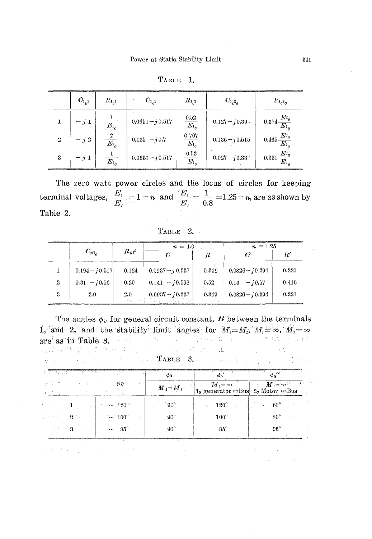|                  | $C_{1,1}$ | $R_{\rm L1}$           | $C_{1,2}$          | $R_{1,2}$                 | $C_{1_{\mathcal{C}}2_{\mathcal{C}}}$ | $R_{\rm 1_{\it 0} 2_{\it 0}}$   |
|------------------|-----------|------------------------|--------------------|---------------------------|--------------------------------------|---------------------------------|
|                  | $- j 1$   | $\overline{E_{1}}$     | $0.0651 - j0.517$  | $\frac{0.52}{E_{1g}}$     | $0.127 - j0.39$                      | $0.374\frac{E_{^{2}g}}{E_{1g}}$ |
| $\boldsymbol{2}$ | $- j 2$   | -2<br>$\overline{E_1}$ | $0.125 - j0.7$     | 0.707<br>$\overline{E_1}$ | $0.136 - j0.515$                     | $0.465\frac{E_{^2g}}{E_{1_g}}$  |
| 3                | $- j 1$   | $\overline{E_{1}}_{a}$ | $0.0651 - j 0.517$ | $\frac{0.52}{E_{1g}}$     | $0.027 - i 0.33$                     | $0.331\frac{E_{^2g}}{E_{1_g}}$  |

TABLE 1.

The zero watt power circles and the locus of circles for keeping terminal voltages,  $\frac{E_1}{E_2} = 1 = n$  and  $\frac{E_1}{E_2} = \frac{1}{0.8} = 1.25 = n$ , are as shown by Table 2.

Тавье 2.

|   |                   |                            | $n = 1.0$          |       | $n = 1.25$         |                 |
|---|-------------------|----------------------------|--------------------|-------|--------------------|-----------------|
|   | $C_{p1_{\alpha}}$ | $R_{p1}^{\dagger}$         |                    | R     |                    | $_{R^{\prime}}$ |
|   | $0.194 - i 0.517$ | 0.124                      | $0.0937 - j 0.337$ | 0.349 | $0.0826 - j0.394$  | 0.221           |
| 2 | $0.31 - j0.56$    | 0.20                       | $0.141 - i0.508$   | 0.52  | $0.13 - i0.57$     | 0.416           |
| З | 2.0               | 2.0<br><b>State Street</b> | $0.0937 - j0.337$  | 0.349 | $0.0826 - j 0.394$ | 0.221           |

The angles  $\phi_B$  for general circuit constant, B between the terminals  $1_q$  and  $2_q$  and the stability limit angles for  $M_1 = M_2$ ,  $M_1 = \infty$ ,  $M_2 = \infty$ <br>are as in Table 3. are as in Table 3. 双脚 双线 的过去分词  $\mathcal{I}_\gamma$  $\Lambda_{\rm c}$  $\mathcal{L} = \mathcal{L}$ 

in d

l.

 $TABLE - 3.$  $\frac{1}{2}$  ,  $\frac{1}{2}$  ,  $\frac{1}{2}$ and patterns of

| use (P                                                                                                                                                                                                                         | $\phi_B$           | $M_i = M_i$                 | $M_1 = \infty$<br>$1g$ generator $\infty$ Bus $2g$ Motor $\infty$ Bus | $M_2 = \infty$ |
|--------------------------------------------------------------------------------------------------------------------------------------------------------------------------------------------------------------------------------|--------------------|-----------------------------|-----------------------------------------------------------------------|----------------|
| where $\sim 1$ and $\sim 10^{-4}$ and $\sim 120^{\circ}$ .                                                                                                                                                                     |                    | $90^\circ$ .<br><b>Take</b> | $120^{\circ}$                                                         | $60^\circ$     |
| and the control of the State of the State of the State of the State of the State of the State of the State of the State of the State of the State of the State of the State of the State of the State of the State of the Stat | $\sim 100^{\circ}$ | $90^{\circ}$                | $100^\circ$                                                           | s٥°            |
|                                                                                                                                                                                                                                | $85^\circ$         | $90^{\circ}$                | $85^\circ$                                                            | $95^\circ$     |

Equation of Contracting the  $\mathbf{q}^{\prime}$  , and the second state of the state  $\mathbf{q}^{\prime}$  , and  $\mathbf{q}^{\prime}$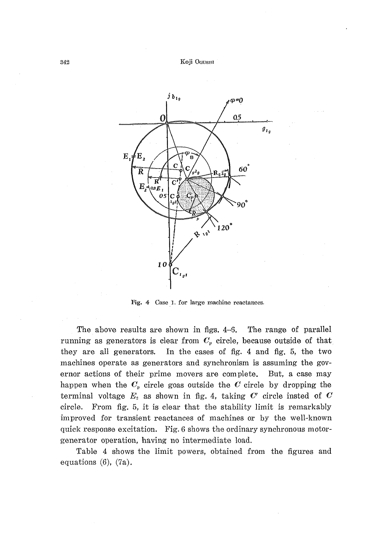

Fig. 4 Case 1. for large machine reactances.

The above results are shown in figs.  $4-6$ . The range of parallel running as generators is clear from  $C_p$  circle, because outside of that they are all generators. In the cases of fig. 4 and fig. 5, the two machines operate as generators and synchronism is assuming the governor actions of their prime movers are complete. But, a case may happen when the  $C_p$  circle goas outside the C circle by dropping the terminal voltage  $E_z$  as shown in fig. 4, taking  $C'$  circle insted of  $C$ circle. From fig. 5, it is clear that the stability limit is remarkably improved for transient reactances of machines or by the well-known quick response excitation. Fig. 6 shows the ordinary synchronous motorgenerator operation, having no intermediate load.

Table 4 shows the limit powers, obtained from the figures and equations  $(6)$ ,  $(7a)$ .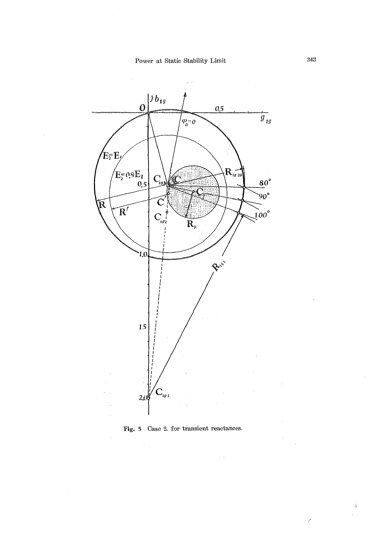



 $\sim$   $\sim$ 

 $\frac{1}{2}$ 

J.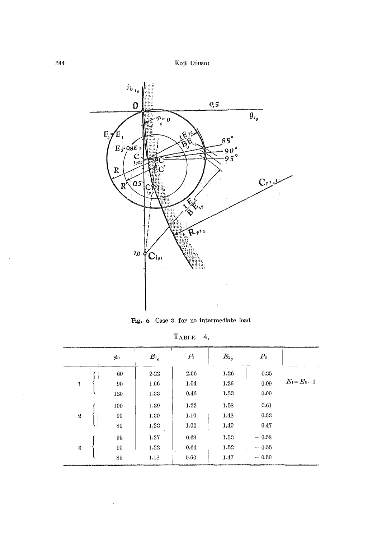

Fig. 6 Case 3. for no intermediate load.

| TABLE | 4. |
|-------|----|
|       |    |

|                | $\phi_0$        | $E_{\rm 1_0}$        | $P_1$                | $E_{^2o}$            | $P_2$                         |                 |
|----------------|-----------------|----------------------|----------------------|----------------------|-------------------------------|-----------------|
| 1              | 60<br>90<br>120 | 2.22<br>1.66<br>1.33 | 2.06<br>1.04<br>0.46 | 1.26<br>1.26<br>1.33 | 0.35<br>0.09<br>0.00          | $E_1 = E_2 = 1$ |
| $\overline{2}$ | 100<br>90<br>80 | 1.39<br>1.30<br>1.23 | 1.22<br>1.10<br>1.00 | 1.58<br>1.48<br>1.40 | 0.61<br>0.53<br>0.47          |                 |
| 3              | 95<br>90<br>85  | 1.27<br>1.22<br>1.18 | 0.68<br>0.64<br>0.60 | 1.53<br>1.52<br>1.47 | $-0.58$<br>$-0.55$<br>$-0.50$ |                 |

 $\bar{\mathbf{s}}$